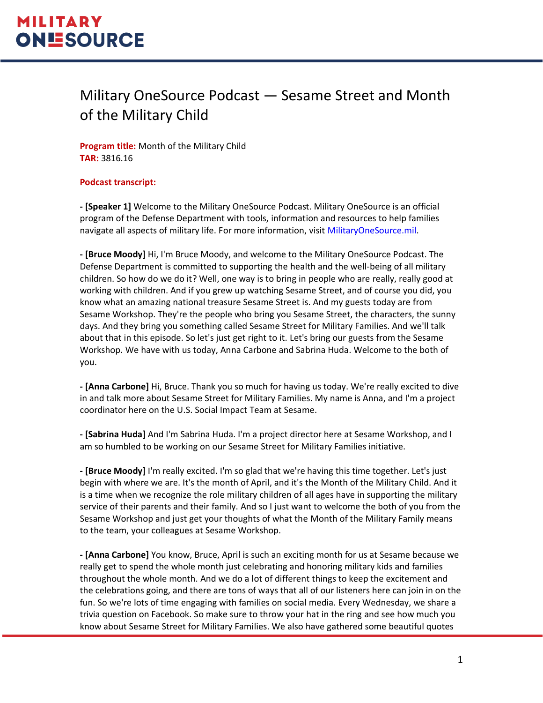#### Military OneSource Podcast — Sesame Street and Month of the Military Child

**Program title:** Month of the Military Child **TAR:** 3816.16

#### **Podcast transcript:**

**- [Speaker 1]** Welcome to the Military OneSource Podcast. Military OneSource is an official program of the Defense Department with tools, information and resources to help families navigate all aspects of military life. For more information, visit [MilitaryOneSource.mil.](https://www.militaryonesource.mil/)

**- [Bruce Moody]** Hi, I'm Bruce Moody, and welcome to the Military OneSource Podcast. The Defense Department is committed to supporting the health and the well-being of all military children. So how do we do it? Well, one way is to bring in people who are really, really good at working with children. And if you grew up watching Sesame Street, and of course you did, you know what an amazing national treasure Sesame Street is. And my guests today are from Sesame Workshop. They're the people who bring you Sesame Street, the characters, the sunny days. And they bring you something called Sesame Street for Military Families. And we'll talk about that in this episode. So let's just get right to it. Let's bring our guests from the Sesame Workshop. We have with us today, Anna Carbone and Sabrina Huda. Welcome to the both of you.

**- [Anna Carbone]** Hi, Bruce. Thank you so much for having us today. We're really excited to dive in and talk more about Sesame Street for Military Families. My name is Anna, and I'm a project coordinator here on the U.S. Social Impact Team at Sesame.

**- [Sabrina Huda]** And I'm Sabrina Huda. I'm a project director here at Sesame Workshop, and I am so humbled to be working on our Sesame Street for Military Families initiative.

**- [Bruce Moody]** I'm really excited. I'm so glad that we're having this time together. Let's just begin with where we are. It's the month of April, and it's the Month of the Military Child. And it is a time when we recognize the role military children of all ages have in supporting the military service of their parents and their family. And so I just want to welcome the both of you from the Sesame Workshop and just get your thoughts of what the Month of the Military Family means to the team, your colleagues at Sesame Workshop.

**- [Anna Carbone]** You know, Bruce, April is such an exciting month for us at Sesame because we really get to spend the whole month just celebrating and honoring military kids and families throughout the whole month. And we do a lot of different things to keep the excitement and the celebrations going, and there are tons of ways that all of our listeners here can join in on the fun. So we're lots of time engaging with families on social media. Every Wednesday, we share a trivia question on Facebook. So make sure to throw your hat in the ring and see how much you know about Sesame Street for Military Families. We also have gathered some beautiful quotes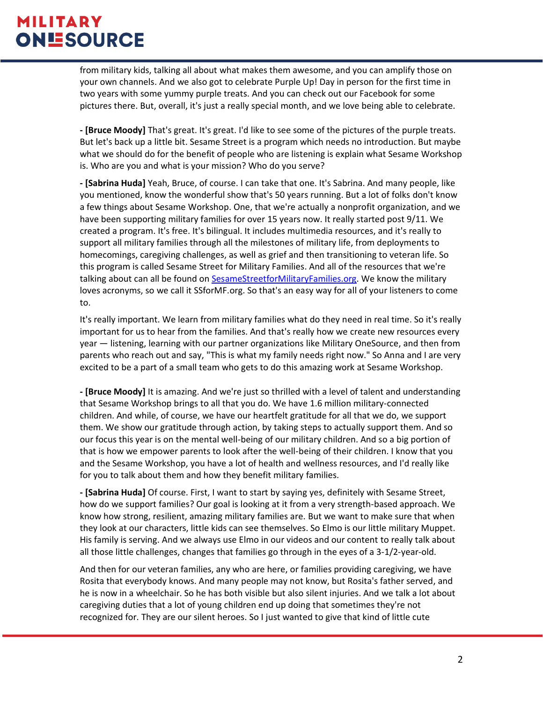from military kids, talking all about what makes them awesome, and you can amplify those on your own channels. And we also got to celebrate Purple Up! Day in person for the first time in two years with some yummy purple treats. And you can check out our Facebook for some pictures there. But, overall, it's just a really special month, and we love being able to celebrate.

**- [Bruce Moody]** That's great. It's great. I'd like to see some of the pictures of the purple treats. But let's back up a little bit. Sesame Street is a program which needs no introduction. But maybe what we should do for the benefit of people who are listening is explain what Sesame Workshop is. Who are you and what is your mission? Who do you serve?

**- [Sabrina Huda]** Yeah, Bruce, of course. I can take that one. It's Sabrina. And many people, like you mentioned, know the wonderful show that's 50 years running. But a lot of folks don't know a few things about Sesame Workshop. One, that we're actually a nonprofit organization, and we have been supporting military families for over 15 years now. It really started post 9/11. We created a program. It's free. It's bilingual. It includes multimedia resources, and it's really to support all military families through all the milestones of military life, from deployments to homecomings, caregiving challenges, as well as grief and then transitioning to veteran life. So this program is called Sesame Street for Military Families. And all of the resources that we're talking about can all be found on [SesameStreetforMilitaryFamilies.org.](https://sesamestreetformilitaryfamilies.org/) We know the military loves acronyms, so we call it SSforMF.org. So that's an easy way for all of your listeners to come to.

It's really important. We learn from military families what do they need in real time. So it's really important for us to hear from the families. And that's really how we create new resources every year — listening, learning with our partner organizations like Military OneSource, and then from parents who reach out and say, "This is what my family needs right now." So Anna and I are very excited to be a part of a small team who gets to do this amazing work at Sesame Workshop.

**- [Bruce Moody]** It is amazing. And we're just so thrilled with a level of talent and understanding that Sesame Workshop brings to all that you do. We have 1.6 million military-connected children. And while, of course, we have our heartfelt gratitude for all that we do, we support them. We show our gratitude through action, by taking steps to actually support them. And so our focus this year is on the mental well-being of our military children. And so a big portion of that is how we empower parents to look after the well-being of their children. I know that you and the Sesame Workshop, you have a lot of health and wellness resources, and I'd really like for you to talk about them and how they benefit military families.

**- [Sabrina Huda]** Of course. First, I want to start by saying yes, definitely with Sesame Street, how do we support families? Our goal is looking at it from a very strength-based approach. We know how strong, resilient, amazing military families are. But we want to make sure that when they look at our characters, little kids can see themselves. So Elmo is our little military Muppet. His family is serving. And we always use Elmo in our videos and our content to really talk about all those little challenges, changes that families go through in the eyes of a 3-1/2-year-old.

And then for our veteran families, any who are here, or families providing caregiving, we have Rosita that everybody knows. And many people may not know, but Rosita's father served, and he is now in a wheelchair. So he has both visible but also silent injuries. And we talk a lot about caregiving duties that a lot of young children end up doing that sometimes they're not recognized for. They are our silent heroes. So I just wanted to give that kind of little cute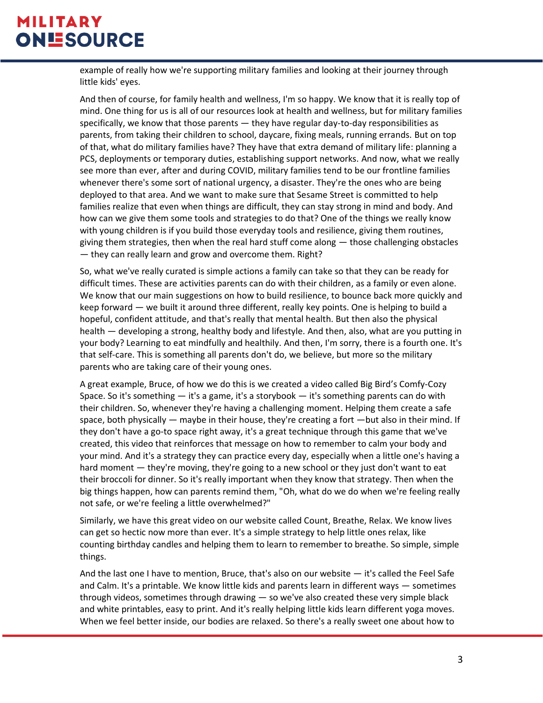example of really how we're supporting military families and looking at their journey through little kids' eyes.

And then of course, for family health and wellness, I'm so happy. We know that it is really top of mind. One thing for us is all of our resources look at health and wellness, but for military families specifically, we know that those parents — they have regular day-to-day responsibilities as parents, from taking their children to school, daycare, fixing meals, running errands. But on top of that, what do military families have? They have that extra demand of military life: planning a PCS, deployments or temporary duties, establishing support networks. And now, what we really see more than ever, after and during COVID, military families tend to be our frontline families whenever there's some sort of national urgency, a disaster. They're the ones who are being deployed to that area. And we want to make sure that Sesame Street is committed to help families realize that even when things are difficult, they can stay strong in mind and body. And how can we give them some tools and strategies to do that? One of the things we really know with young children is if you build those everyday tools and resilience, giving them routines, giving them strategies, then when the real hard stuff come along — those challenging obstacles — they can really learn and grow and overcome them. Right?

So, what we've really curated is simple actions a family can take so that they can be ready for difficult times. These are activities parents can do with their children, as a family or even alone. We know that our main suggestions on how to build resilience, to bounce back more quickly and keep forward — we built it around three different, really key points. One is helping to build a hopeful, confident attitude, and that's really that mental health. But then also the physical health — developing a strong, healthy body and lifestyle. And then, also, what are you putting in your body? Learning to eat mindfully and healthily. And then, I'm sorry, there is a fourth one. It's that self-care. This is something all parents don't do, we believe, but more so the military parents who are taking care of their young ones.

A great example, Bruce, of how we do this is we created a video called Big Bird's Comfy-Cozy Space. So it's something  $-$  it's a game, it's a storybook  $-$  it's something parents can do with their children. So, whenever they're having a challenging moment. Helping them create a safe space, both physically — maybe in their house, they're creating a fort —but also in their mind. If they don't have a go-to space right away, it's a great technique through this game that we've created, this video that reinforces that message on how to remember to calm your body and your mind. And it's a strategy they can practice every day, especially when a little one's having a hard moment — they're moving, they're going to a new school or they just don't want to eat their broccoli for dinner. So it's really important when they know that strategy. Then when the big things happen, how can parents remind them, "Oh, what do we do when we're feeling really not safe, or we're feeling a little overwhelmed?"

Similarly, we have this great video on our website called Count, Breathe, Relax. We know lives can get so hectic now more than ever. It's a simple strategy to help little ones relax, like counting birthday candles and helping them to learn to remember to breathe. So simple, simple things.

And the last one I have to mention, Bruce, that's also on our website — it's called the Feel Safe and Calm. It's a printable. We know little kids and parents learn in different ways — sometimes through videos, sometimes through drawing — so we've also created these very simple black and white printables, easy to print. And it's really helping little kids learn different yoga moves. When we feel better inside, our bodies are relaxed. So there's a really sweet one about how to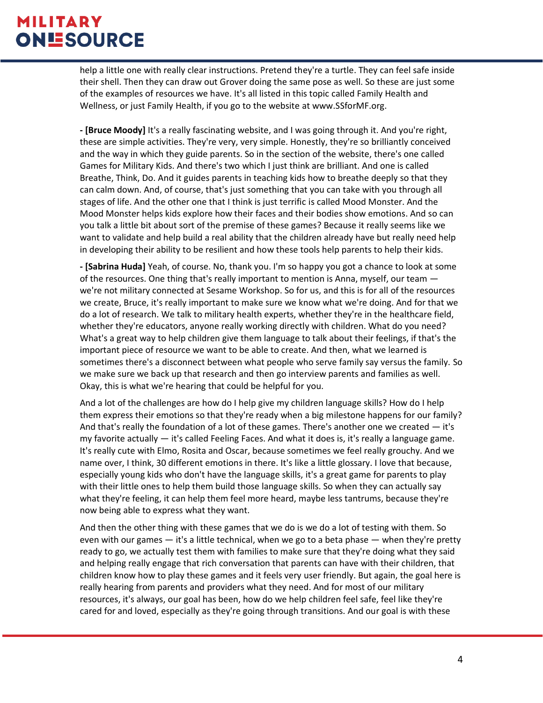help a little one with really clear instructions. Pretend they're a turtle. They can feel safe inside their shell. Then they can draw out Grover doing the same pose as well. So these are just some of the examples of resources we have. It's all listed in this topic called Family Health and Wellness, or just Family Health, if you go to the website at www.SSforMF.org.

**- [Bruce Moody]** It's a really fascinating website, and I was going through it. And you're right, these are simple activities. They're very, very simple. Honestly, they're so brilliantly conceived and the way in which they guide parents. So in the section of the website, there's one called Games for Military Kids. And there's two which I just think are brilliant. And one is called Breathe, Think, Do. And it guides parents in teaching kids how to breathe deeply so that they can calm down. And, of course, that's just something that you can take with you through all stages of life. And the other one that I think is just terrific is called Mood Monster. And the Mood Monster helps kids explore how their faces and their bodies show emotions. And so can you talk a little bit about sort of the premise of these games? Because it really seems like we want to validate and help build a real ability that the children already have but really need help in developing their ability to be resilient and how these tools help parents to help their kids.

**- [Sabrina Huda]** Yeah, of course. No, thank you. I'm so happy you got a chance to look at some of the resources. One thing that's really important to mention is Anna, myself, our team we're not military connected at Sesame Workshop. So for us, and this is for all of the resources we create, Bruce, it's really important to make sure we know what we're doing. And for that we do a lot of research. We talk to military health experts, whether they're in the healthcare field, whether they're educators, anyone really working directly with children. What do you need? What's a great way to help children give them language to talk about their feelings, if that's the important piece of resource we want to be able to create. And then, what we learned is sometimes there's a disconnect between what people who serve family say versus the family. So we make sure we back up that research and then go interview parents and families as well. Okay, this is what we're hearing that could be helpful for you.

And a lot of the challenges are how do I help give my children language skills? How do I help them express their emotions so that they're ready when a big milestone happens for our family? And that's really the foundation of a lot of these games. There's another one we created  $-$  it's my favorite actually — it's called Feeling Faces. And what it does is, it's really a language game. It's really cute with Elmo, Rosita and Oscar, because sometimes we feel really grouchy. And we name over, I think, 30 different emotions in there. It's like a little glossary. I love that because, especially young kids who don't have the language skills, it's a great game for parents to play with their little ones to help them build those language skills. So when they can actually say what they're feeling, it can help them feel more heard, maybe less tantrums, because they're now being able to express what they want.

And then the other thing with these games that we do is we do a lot of testing with them. So even with our games — it's a little technical, when we go to a beta phase — when they're pretty ready to go, we actually test them with families to make sure that they're doing what they said and helping really engage that rich conversation that parents can have with their children, that children know how to play these games and it feels very user friendly. But again, the goal here is really hearing from parents and providers what they need. And for most of our military resources, it's always, our goal has been, how do we help children feel safe, feel like they're cared for and loved, especially as they're going through transitions. And our goal is with these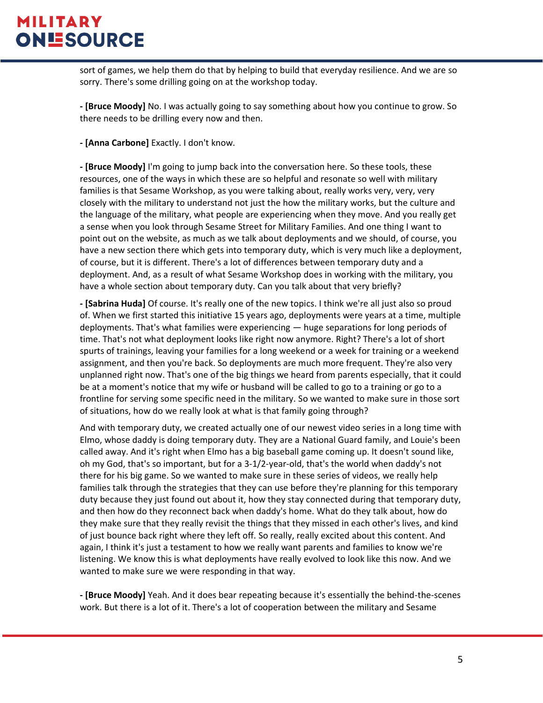sort of games, we help them do that by helping to build that everyday resilience. And we are so sorry. There's some drilling going on at the workshop today.

**- [Bruce Moody]** No. I was actually going to say something about how you continue to grow. So there needs to be drilling every now and then.

**- [Anna Carbone]** Exactly. I don't know.

**- [Bruce Moody]** I'm going to jump back into the conversation here. So these tools, these resources, one of the ways in which these are so helpful and resonate so well with military families is that Sesame Workshop, as you were talking about, really works very, very, very closely with the military to understand not just the how the military works, but the culture and the language of the military, what people are experiencing when they move. And you really get a sense when you look through Sesame Street for Military Families. And one thing I want to point out on the website, as much as we talk about deployments and we should, of course, you have a new section there which gets into temporary duty, which is very much like a deployment, of course, but it is different. There's a lot of differences between temporary duty and a deployment. And, as a result of what Sesame Workshop does in working with the military, you have a whole section about temporary duty. Can you talk about that very briefly?

**- [Sabrina Huda]** Of course. It's really one of the new topics. I think we're all just also so proud of. When we first started this initiative 15 years ago, deployments were years at a time, multiple deployments. That's what families were experiencing — huge separations for long periods of time. That's not what deployment looks like right now anymore. Right? There's a lot of short spurts of trainings, leaving your families for a long weekend or a week for training or a weekend assignment, and then you're back. So deployments are much more frequent. They're also very unplanned right now. That's one of the big things we heard from parents especially, that it could be at a moment's notice that my wife or husband will be called to go to a training or go to a frontline for serving some specific need in the military. So we wanted to make sure in those sort of situations, how do we really look at what is that family going through?

And with temporary duty, we created actually one of our newest video series in a long time with Elmo, whose daddy is doing temporary duty. They are a National Guard family, and Louie's been called away. And it's right when Elmo has a big baseball game coming up. It doesn't sound like, oh my God, that's so important, but for a 3-1/2-year-old, that's the world when daddy's not there for his big game. So we wanted to make sure in these series of videos, we really help families talk through the strategies that they can use before they're planning for this temporary duty because they just found out about it, how they stay connected during that temporary duty, and then how do they reconnect back when daddy's home. What do they talk about, how do they make sure that they really revisit the things that they missed in each other's lives, and kind of just bounce back right where they left off. So really, really excited about this content. And again, I think it's just a testament to how we really want parents and families to know we're listening. We know this is what deployments have really evolved to look like this now. And we wanted to make sure we were responding in that way.

**- [Bruce Moody]** Yeah. And it does bear repeating because it's essentially the behind-the-scenes work. But there is a lot of it. There's a lot of cooperation between the military and Sesame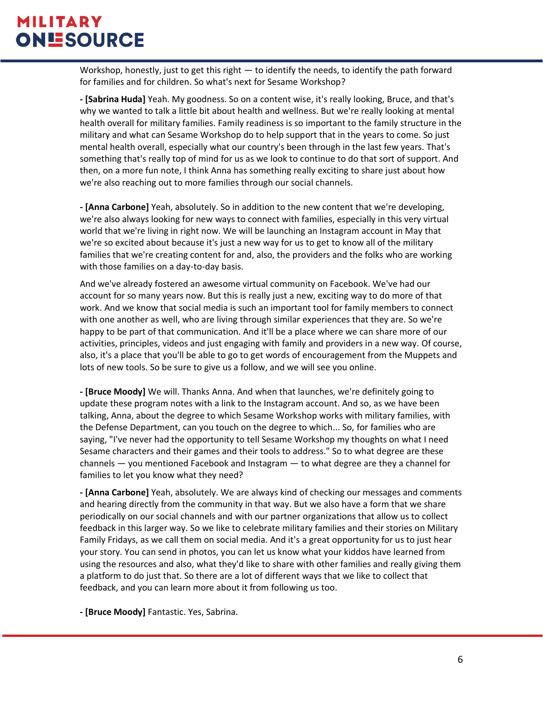Workshop, honestly, just to get this right — to identify the needs, to identify the path forward for families and for children. So what's next for Sesame Workshop?

**- [Sabrina Huda]** Yeah. My goodness. So on a content wise, it's really looking, Bruce, and that's why we wanted to talk a little bit about health and wellness. But we're really looking at mental health overall for military families. Family readiness is so important to the family structure in the military and what can Sesame Workshop do to help support that in the years to come. So just mental health overall, especially what our country's been through in the last few years. That's something that's really top of mind for us as we look to continue to do that sort of support. And then, on a more fun note, I think Anna has something really exciting to share just about how we're also reaching out to more families through our social channels.

**- [Anna Carbone]** Yeah, absolutely. So in addition to the new content that we're developing, we're also always looking for new ways to connect with families, especially in this very virtual world that we're living in right now. We will be launching an Instagram account in May that we're so excited about because it's just a new way for us to get to know all of the military families that we're creating content for and, also, the providers and the folks who are working with those families on a day-to-day basis.

And we've already fostered an awesome virtual community on Facebook. We've had our account for so many years now. But this is really just a new, exciting way to do more of that work. And we know that social media is such an important tool for family members to connect with one another as well, who are living through similar experiences that they are. So we're happy to be part of that communication. And it'll be a place where we can share more of our activities, principles, videos and just engaging with family and providers in a new way. Of course, also, it's a place that you'll be able to go to get words of encouragement from the Muppets and lots of new tools. So be sure to give us a follow, and we will see you online.

**- [Bruce Moody]** We will. Thanks Anna. And when that launches, we're definitely going to update these program notes with a link to the Instagram account. And so, as we have been talking, Anna, about the degree to which Sesame Workshop works with military families, with the Defense Department, can you touch on the degree to which... So, for families who are saying, "I've never had the opportunity to tell Sesame Workshop my thoughts on what I need Sesame characters and their games and their tools to address." So to what degree are these channels — you mentioned Facebook and Instagram — to what degree are they a channel for families to let you know what they need?

**- [Anna Carbone]** Yeah, absolutely. We are always kind of checking our messages and comments and hearing directly from the community in that way. But we also have a form that we share periodically on our social channels and with our partner organizations that allow us to collect feedback in this larger way. So we like to celebrate military families and their stories on Military Family Fridays, as we call them on social media. And it's a great opportunity for us to just hear your story. You can send in photos, you can let us know what your kiddos have learned from using the resources and also, what they'd like to share with other families and really giving them a platform to do just that. So there are a lot of different ways that we like to collect that feedback, and you can learn more about it from following us too.

**- [Bruce Moody]** Fantastic. Yes, Sabrina.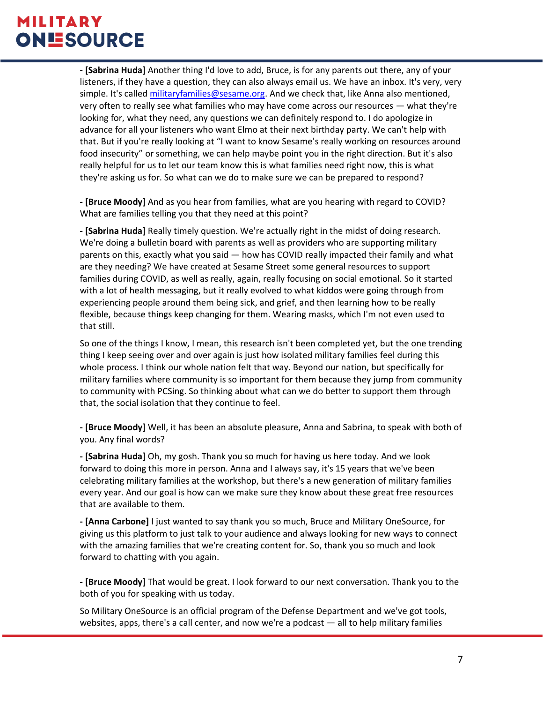**- [Sabrina Huda]** Another thing I'd love to add, Bruce, is for any parents out there, any of your listeners, if they have a question, they can also always email us. We have an inbox. It's very, very simple. It's called [militaryfamilies@sesame.org.](mailto:militaryfamilies@sesame.org) And we check that, like Anna also mentioned, very often to really see what families who may have come across our resources — what they're looking for, what they need, any questions we can definitely respond to. I do apologize in advance for all your listeners who want Elmo at their next birthday party. We can't help with that. But if you're really looking at "I want to know Sesame's really working on resources around food insecurity" or something, we can help maybe point you in the right direction. But it's also really helpful for us to let our team know this is what families need right now, this is what they're asking us for. So what can we do to make sure we can be prepared to respond?

**- [Bruce Moody]** And as you hear from families, what are you hearing with regard to COVID? What are families telling you that they need at this point?

**- [Sabrina Huda]** Really timely question. We're actually right in the midst of doing research. We're doing a bulletin board with parents as well as providers who are supporting military parents on this, exactly what you said — how has COVID really impacted their family and what are they needing? We have created at Sesame Street some general resources to support families during COVID, as well as really, again, really focusing on social emotional. So it started with a lot of health messaging, but it really evolved to what kiddos were going through from experiencing people around them being sick, and grief, and then learning how to be really flexible, because things keep changing for them. Wearing masks, which I'm not even used to that still.

So one of the things I know, I mean, this research isn't been completed yet, but the one trending thing I keep seeing over and over again is just how isolated military families feel during this whole process. I think our whole nation felt that way. Beyond our nation, but specifically for military families where community is so important for them because they jump from community to community with PCSing. So thinking about what can we do better to support them through that, the social isolation that they continue to feel.

**- [Bruce Moody]** Well, it has been an absolute pleasure, Anna and Sabrina, to speak with both of you. Any final words?

**- [Sabrina Huda]** Oh, my gosh. Thank you so much for having us here today. And we look forward to doing this more in person. Anna and I always say, it's 15 years that we've been celebrating military families at the workshop, but there's a new generation of military families every year. And our goal is how can we make sure they know about these great free resources that are available to them.

**- [Anna Carbone]** I just wanted to say thank you so much, Bruce and Military OneSource, for giving us this platform to just talk to your audience and always looking for new ways to connect with the amazing families that we're creating content for. So, thank you so much and look forward to chatting with you again.

**- [Bruce Moody]** That would be great. I look forward to our next conversation. Thank you to the both of you for speaking with us today.

So Military OneSource is an official program of the Defense Department and we've got tools, websites, apps, there's a call center, and now we're a podcast — all to help military families